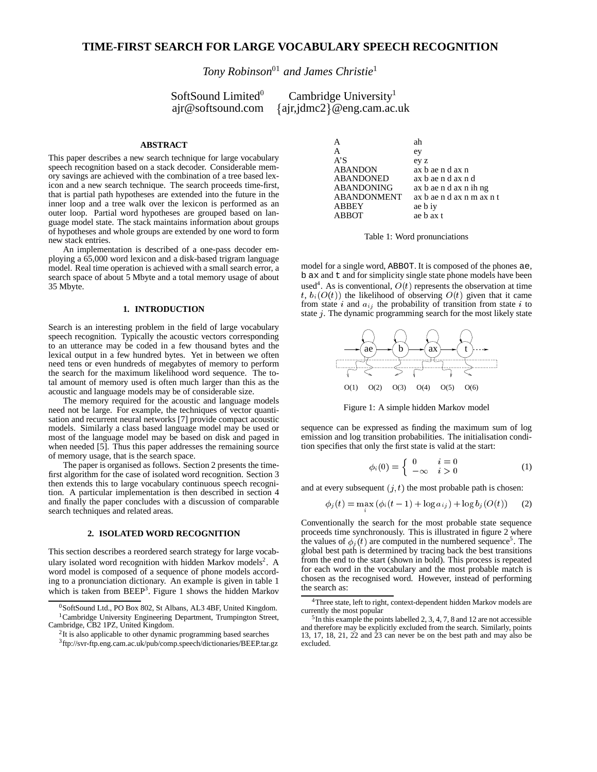# **TIME-FIRST SEARCH FOR LARGE VOCABULARY SPEECH RECOGNITION**

*Tony Robinson*<sup>01</sup> *and James Christie*<sup>1</sup>

SoftSound Limited<sup>0</sup><br>ajr@softsound.com

Cambridge University<sup>1</sup>  $\{air, idmc2\}$ @eng.cam.ac.uk

### **ABSTRACT**

This paper describes a new search technique for large vocabulary speech recognition based on a stack decoder. Considerable memory savings are achieved with the combination of a tree based lexicon and a new search technique. The search proceeds time-first, that is partial path hypotheses are extended into the future in the inner loop and a tree walk over the lexicon is performed as an outer loop. Partial word hypotheses are grouped based on language model state. The stack maintains information about groups of hypotheses and whole groups are extended by one word to form new stack entries.

An implementation is described of a one-pass decoder employing a 65,000 word lexicon and a disk-based trigram language model. Real time operation is achieved with a small search error, a search space of about 5 Mbyte and a total memory usage of about 35 Mbyte.

# **1. INTRODUCTION**

Search is an interesting problem in the field of large vocabulary speech recognition. Typically the acoustic vectors corresponding to an utterance may be coded in a few thousand bytes and the lexical output in a few hundred bytes. Yet in between we often need tens or even hundreds of megabytes of memory to perform the search for the maximum likelihood word sequence. The total amount of memory used is often much larger than this as the acoustic and language models may be of considerable size.

The memory required for the acoustic and language models need not be large. For example, the techniques of vector quantisation and recurrent neural networks [7] provide compact acoustic models. Similarly a class based language model may be used or most of the language model may be based on disk and paged in when needed [5]. Thus this paper addresses the remaining source of memory usage, that is the search space.

The paper is organised as follows. Section 2 presents the timefirst algorithm for the case of isolated word recognition. Section 3 then extends this to large vocabulary continuous speech recognition. A particular implementation is then described in section 4 and finally the paper concludes with a discussion of comparable search techniques and related areas.

### **2. ISOLATED WORD RECOGNITION**

This section describes a reordered search strategy for large vocabulary isolated word recognition with hidden Markov models<sup>2</sup>. A word model is composed of a sequence of phone models according to a pronunciation dictionary. An example is given in table 1 which is taken from  $BEEP<sup>3</sup>$ . Figure 1 shows the hidden Markov

| А                 | ah                        |
|-------------------|---------------------------|
| A                 | ey                        |
| A'S               | ey z                      |
| <b>ABANDON</b>    | ax b ae n d ax n          |
| <b>ABANDONED</b>  | ax b ae n d ax n d        |
| <b>ABANDONING</b> | ax b ae n d ax n ih ng    |
| ABANDONMENT       | ax b ae n d ax n m ax n t |
| <b>ABBEY</b>      | ae b iy                   |
| ABBOT             | ae b ax t                 |
|                   |                           |

Table 1: Word pronunciations

model for a single word, ABBOT. It is composed of the phones ae, b ax and t and for simplicity single state phone models have been used<sup>4</sup>. As is conventional,  $O(t)$  represents the observation at time t,  $b_i(O(t))$  the likelihood of observing  $O(t)$  given that it came from state i and  $a_{ij}$  the probability of transition from state i to state <sup>j</sup>. The dynamic programming search for the most likely state



Figure 1: A simple hidden Markov model

sequence can be expressed as finding the maximum sum of log emission and log transition probabilities. The initialisation condition specifies that only the first state is valid at the start:

$$
\phi_i(0) = \begin{cases} 0 & i = 0 \\ -\infty & i > 0 \end{cases}
$$
 (1)

and at every subsequent  $(j, t)$  the most probable path is chosen:

$$
\phi_j(t) = \max(\phi_i(t-1) + \log a_{ij}) + \log b_j(O(t)) \qquad (2)
$$

Conventionally the search for the most probable state sequence proceeds time synchronously. This is illustrated in figure 2 where the values of  $\phi_i(t)$  are computed in the numbered sequence<sup>5</sup>. The global best path is determined by tracing back the best transitions from the end to the start (shown in bold). This process is repeated for each word in the vocabulary and the most probable match is chosen as the recognised word. However, instead of performing the search as:

 $0$ SoftSound Ltd., PO Box 802, St Albans, AL3 4BF, United Kingdom. <sup>1</sup>Cambridge University Engineering Department, Trumpington Street, Cambridge, CB2 1PZ, United Kingdom.

<sup>&</sup>lt;sup>2</sup>It is also applicable to other dynamic programming based searches 3 ftp://svr-ftp.eng.cam.ac.uk/pub/comp.speech/dictionaries/BEEP.tar.gz

<sup>4</sup>Three state, left to right, context-dependent hidden Markov models are currently the most popular

<sup>5</sup> In this example the points labelled 2, 3, 4, 7, 8 and 12 are not accessible and therefore may be explicitly excluded from the search. Similarly, points 13, 17, 18, 21, 22 and 23 can never be on the best path and may also be excluded.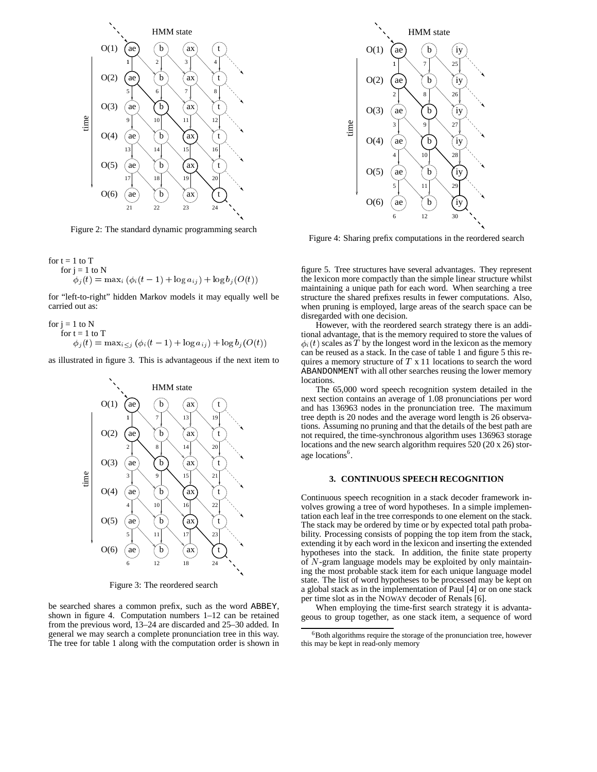

Figure 2: The standard dynamic programming search

for t = 1 to T  
\nfor j = 1 to N  
\n
$$
\phi_j(t) = \max_i (\phi_i(t-1) + \log a_{ij}) + \log b_j(O(t))
$$

for "left-to-right" hidden Markov models it may equally well be carried out as:

for j = 1 to N  
for t = 1 to T  

$$
\phi_j(t) = \max_{i \leq j} (\phi_i(t-1) + \log a_{ij}) + \log b_j(O(t))
$$

as illustrated in figure 3. This is advantageous if the next item to



Figure 3: The reordered search

be searched shares a common prefix, such as the word ABBEY, shown in figure 4. Computation numbers 1–12 can be retained from the previous word, 13–24 are discarded and 25–30 added. In general we may search a complete pronunciation tree in this way. The tree for table 1 along with the computation order is shown in



Figure 4: Sharing prefix computations in the reordered search

figure 5. Tree structures have several advantages. They represent the lexicon more compactly than the simple linear structure whilst maintaining a unique path for each word. When searching a tree structure the shared prefixes results in fewer computations. Also, when pruning is employed, large areas of the search space can be disregarded with one decision.

However, with the reordered search strategy there is an additional advantage, that is the memory required to store the values of  $\phi_i(t)$  scales as T by the longest word in the lexicon as the memory can be reused as a stack. In the case of table 1 and figure 5 this requires a memory structure of  $T \times 11$  locations to search the word ABANDONMENT with all other searches reusing the lower memory locations.

The 65,000 word speech recognition system detailed in the next section contains an average of 1.08 pronunciations per word and has 136963 nodes in the pronunciation tree. The maximum tree depth is 20 nodes and the average word length is 26 observations. Assuming no pruning and that the details of the best path are not required, the time-synchronous algorithm uses 136963 storage locations and the new search algorithm requires 520 (20 x 26) storage locations<sup>6</sup>.

# **3. CONTINUOUS SPEECH RECOGNITION**

Continuous speech recognition in a stack decoder framework involves growing a tree of word hypotheses. In a simple implementation each leaf in the tree corresponds to one element on the stack. The stack may be ordered by time or by expected total path probability. Processing consists of popping the top item from the stack, extending it by each word in the lexicon and inserting the extended hypotheses into the stack. In addition, the finite state property of <sup>N</sup>-gram language models may be exploited by only maintaining the most probable stack item for each unique language model state. The list of word hypotheses to be processed may be kept on a global stack as in the implementation of Paul [4] or on one stack per time slot as in the NOWAY decoder of Renals [6].

When employing the time-first search strategy it is advantageous to group together, as one stack item, a sequence of word

 ${}^{6}$ Both algorithms require the storage of the pronunciation tree, however this may be kept in read-only memory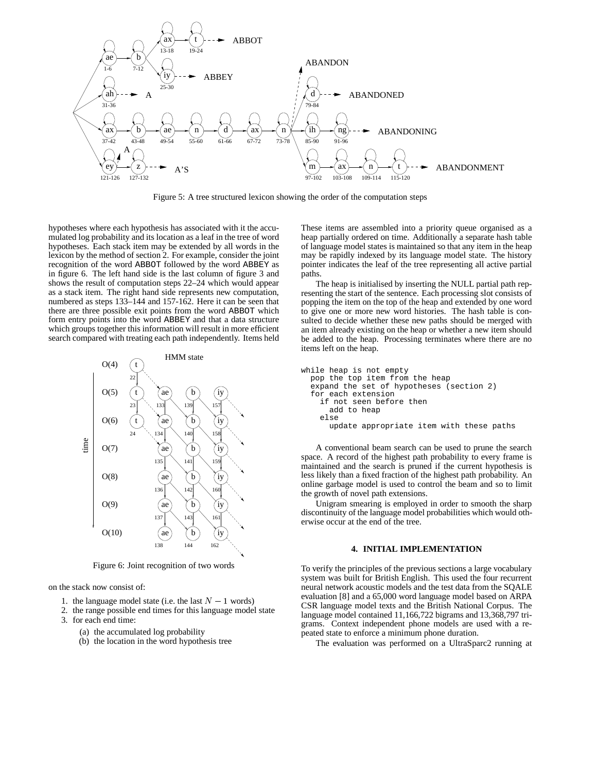

Figure 5: A tree structured lexicon showing the order of the computation steps

hypotheses where each hypothesis has associated with it the accumulated log probability and its location as a leaf in the tree of word hypotheses. Each stack item may be extended by all words in the lexicon by the method of section 2. For example, consider the joint recognition of the word ABBOT followed by the word ABBEY as in figure 6. The left hand side is the last column of figure 3 and shows the result of computation steps 22–24 which would appear as a stack item. The right hand side represents new computation, numbered as steps 133–144 and 157-162. Here it can be seen that there are three possible exit points from the word ABBOT which form entry points into the word ABBEY and that a data structure which groups together this information will result in more efficient search compared with treating each path independently. Items held



Figure 6: Joint recognition of two words

on the stack now consist of:

- 1. the language model state (i.e. the last  $N 1$  words)
- 2. the range possible end times for this language model state
- 3. for each end time:
	- (a) the accumulated log probability
	- (b) the location in the word hypothesis tree

These items are assembled into a priority queue organised as a heap partially ordered on time. Additionally a separate hash table of language model states is maintained so that any item in the heap may be rapidly indexed by its language model state. The history pointer indicates the leaf of the tree representing all active partial paths.

The heap is initialised by inserting the NULL partial path representing the start of the sentence. Each processing slot consists of popping the item on the top of the heap and extended by one word to give one or more new word histories. The hash table is consulted to decide whether these new paths should be merged with an item already existing on the heap or whether a new item should be added to the heap. Processing terminates where there are no items left on the heap.

```
while heap is not empty
pop the top item from the heap
 expand the set of hypotheses (section 2)
 for each extension
   if not seen before then
     add to heap
   else
     update appropriate item with these paths
```
A conventional beam search can be used to prune the search space. A record of the highest path probability to every frame is maintained and the search is pruned if the current hypothesis is less likely than a fixed fraction of the highest path probability. An online garbage model is used to control the beam and so to limit the growth of novel path extensions.

Unigram smearing is employed in order to smooth the sharp discontinuity of the language model probabilities which would otherwise occur at the end of the tree.

#### **4. INITIAL IMPLEMENTATION**

To verify the principles of the previous sections a large vocabulary system was built for British English. This used the four recurrent neural network acoustic models and the test data from the SQALE evaluation [8] and a 65,000 word language model based on ARPA CSR language model texts and the British National Corpus. The language model contained 11,166,722 bigrams and 13,368,797 trigrams. Context independent phone models are used with a repeated state to enforce a minimum phone duration.

The evaluation was performed on a UltraSparc2 running at